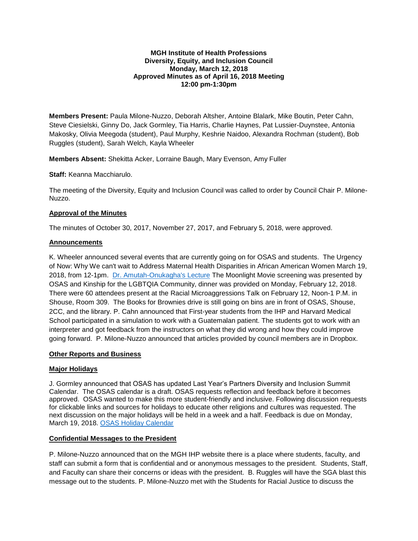#### **MGH Institute of Health Professions Diversity, Equity, and Inclusion Council Monday, March 12, 2018 Approved Minutes as of April 16, 2018 Meeting 12:00 pm-1:30pm**

**Members Present:** Paula Milone-Nuzzo, Deborah Altsher, Antoine Blalark, Mike Boutin, Peter Cahn, Steve Ciesielski, Ginny Do, Jack Gormley, Tia Harris, Charlie Haynes, Pat Lussier-Duynstee, Antonia Makosky, Olivia Meegoda (student), Paul Murphy, Keshrie Naidoo, Alexandra Rochman (student), Bob Ruggles (student), Sarah Welch, Kayla Wheeler

**Members Absent:** Shekitta Acker, Lorraine Baugh, Mary Evenson, Amy Fuller

**Staff:** Keanna Macchiarulo.

The meeting of the Diversity, Equity and Inclusion Council was called to order by Council Chair P. Milone-Nuzzo.

# **Approval of the Minutes**

The minutes of October 30, 2017, November 27, 2017, and February 5, 2018, were approved.

# **Announcements**

K. Wheeler announced several events that are currently going on for OSAS and students. The Urgency of Now: Why We can't wait to Address Maternal Health Disparities in African American Women March 19, 2018, from 12-1pm. [Dr. Amutah-Onukagha's Lecture](https://hosting2.desire2learncapture.com/mgh/1/Watch/6491.aspx) The Moonlight Movie screening was presented by OSAS and Kinship for the LGBTQIA Community, dinner was provided on Monday, February 12, 2018. There were 60 attendees present at the Racial Microaggressions Talk on February 12, Noon-1 P.M. in Shouse, Room 309. The Books for Brownies drive is still going on bins are in front of OSAS, Shouse, 2CC, and the library. P. Cahn announced that First-year students from the IHP and Harvard Medical School participated in a simulation to work with a Guatemalan patient. The students got to work with an interpreter and got feedback from the instructors on what they did wrong and how they could improve going forward. P. Milone-Nuzzo announced that articles provided by council members are in Dropbox.

### **Other Reports and Business**

### **Major Holidays**

J. Gormley announced that OSAS has updated Last Year's Partners Diversity and Inclusion Summit Calendar. The OSAS calendar is a draft. OSAS requests reflection and feedback before it becomes approved. OSAS wanted to make this more student-friendly and inclusive. Following discussion requests for clickable links and sources for holidays to educate other religions and cultures was requested. The next discussion on the major holidays will be held in a week and a half. Feedback is due on Monday, March 19, 2018. [OSAS Holiday Calendar](file://///Cifs2/ihpadmn$/Elizabeth%20Share/DIVERSITY%20COUNCIL/2017-2018/April%2016,%202018/OSAS%20Holiday%20Calendar.docx)

### **Confidential Messages to the President**

P. Milone-Nuzzo announced that on the MGH IHP website there is a place where students, faculty, and staff can submit a form that is confidential and or anonymous messages to the president. Students, Staff, and Faculty can share their concerns or ideas with the president. B. Ruggles will have the SGA blast this message out to the students. P. Milone-Nuzzo met with the Students for Racial Justice to discuss the